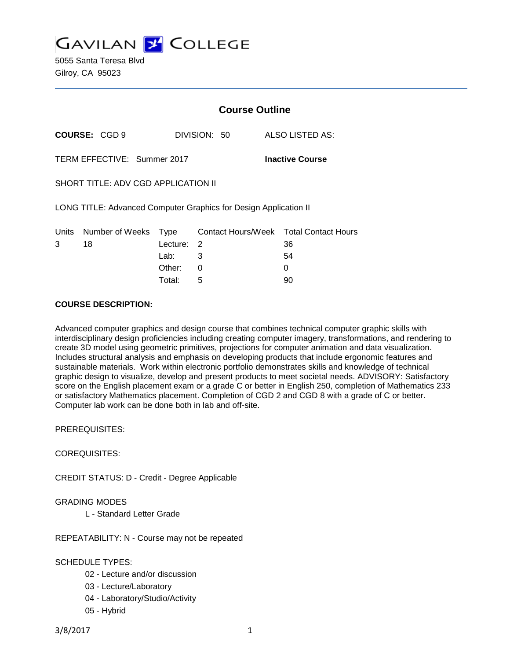

5055 Santa Teresa Blvd Gilroy, CA 95023

|                                                                  |                       | <b>Course Outline</b>   |              |                        |                                              |
|------------------------------------------------------------------|-----------------------|-------------------------|--------------|------------------------|----------------------------------------------|
|                                                                  | <b>COURSE: CGD 9</b>  |                         | DIVISION: 50 |                        | ALSO LISTED AS:                              |
| TERM EFFECTIVE: Summer 2017                                      |                       |                         |              | <b>Inactive Course</b> |                                              |
| SHORT TITLE: ADV CGD APPLICATION II                              |                       |                         |              |                        |                                              |
| LONG TITLE: Advanced Computer Graphics for Design Application II |                       |                         |              |                        |                                              |
| Units<br>3                                                       | Number of Weeks<br>18 | <u>Type</u><br>Lecture: | 2            |                        | Contact Hours/Week Total Contact Hours<br>36 |
|                                                                  |                       | Lab:                    | 3            |                        | 54                                           |
|                                                                  |                       | Other:                  | 0            |                        | 0                                            |

Total: 5 90

#### **COURSE DESCRIPTION:**

Advanced computer graphics and design course that combines technical computer graphic skills with interdisciplinary design proficiencies including creating computer imagery, transformations, and rendering to create 3D model using geometric primitives, projections for computer animation and data visualization. Includes structural analysis and emphasis on developing products that include ergonomic features and sustainable materials. Work within electronic portfolio demonstrates skills and knowledge of technical graphic design to visualize, develop and present products to meet societal needs. ADVISORY: Satisfactory score on the English placement exam or a grade C or better in English 250, completion of Mathematics 233 or satisfactory Mathematics placement. Completion of CGD 2 and CGD 8 with a grade of C or better. Computer lab work can be done both in lab and off-site.

PREREQUISITES:

COREQUISITES:

CREDIT STATUS: D - Credit - Degree Applicable

### GRADING MODES

L - Standard Letter Grade

REPEATABILITY: N - Course may not be repeated

## SCHEDULE TYPES:

- 02 Lecture and/or discussion
- 03 Lecture/Laboratory
- 04 Laboratory/Studio/Activity
- 05 Hybrid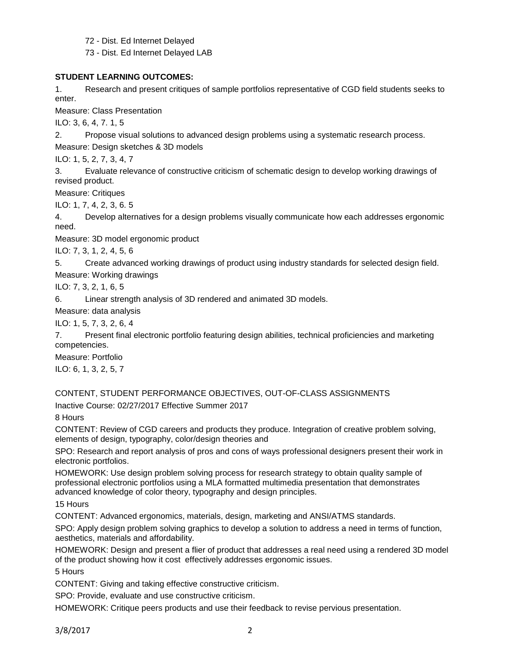72 - Dist. Ed Internet Delayed

73 - Dist. Ed Internet Delayed LAB

### **STUDENT LEARNING OUTCOMES:**

1. Research and present critiques of sample portfolios representative of CGD field students seeks to enter.

Measure: Class Presentation

ILO: 3, 6, 4, 7. 1, 5

2. Propose visual solutions to advanced design problems using a systematic research process. Measure: Design sketches & 3D models

ILO: 1, 5, 2, 7, 3, 4, 7

3. Evaluate relevance of constructive criticism of schematic design to develop working drawings of revised product.

Measure: Critiques

ILO: 1, 7, 4, 2, 3, 6. 5

4. Develop alternatives for a design problems visually communicate how each addresses ergonomic need.

Measure: 3D model ergonomic product

ILO: 7, 3, 1, 2, 4, 5, 6

5. Create advanced working drawings of product using industry standards for selected design field.

Measure: Working drawings

ILO: 7, 3, 2, 1, 6, 5

6. Linear strength analysis of 3D rendered and animated 3D models.

Measure: data analysis

ILO: 1, 5, 7, 3, 2, 6, 4

7. Present final electronic portfolio featuring design abilities, technical proficiencies and marketing competencies.

Measure: Portfolio

ILO: 6, 1, 3, 2, 5, 7

CONTENT, STUDENT PERFORMANCE OBJECTIVES, OUT-OF-CLASS ASSIGNMENTS Inactive Course: 02/27/2017 Effective Summer 2017

8 Hours

CONTENT: Review of CGD careers and products they produce. Integration of creative problem solving, elements of design, typography, color/design theories and

SPO: Research and report analysis of pros and cons of ways professional designers present their work in electronic portfolios.

HOMEWORK: Use design problem solving process for research strategy to obtain quality sample of professional electronic portfolios using a MLA formatted multimedia presentation that demonstrates advanced knowledge of color theory, typography and design principles.

15 Hours

CONTENT: Advanced ergonomics, materials, design, marketing and ANSI/ATMS standards.

SPO: Apply design problem solving graphics to develop a solution to address a need in terms of function, aesthetics, materials and affordability.

HOMEWORK: Design and present a flier of product that addresses a real need using a rendered 3D model of the product showing how it cost effectively addresses ergonomic issues.

5 Hours

CONTENT: Giving and taking effective constructive criticism.

SPO: Provide, evaluate and use constructive criticism.

HOMEWORK: Critique peers products and use their feedback to revise pervious presentation.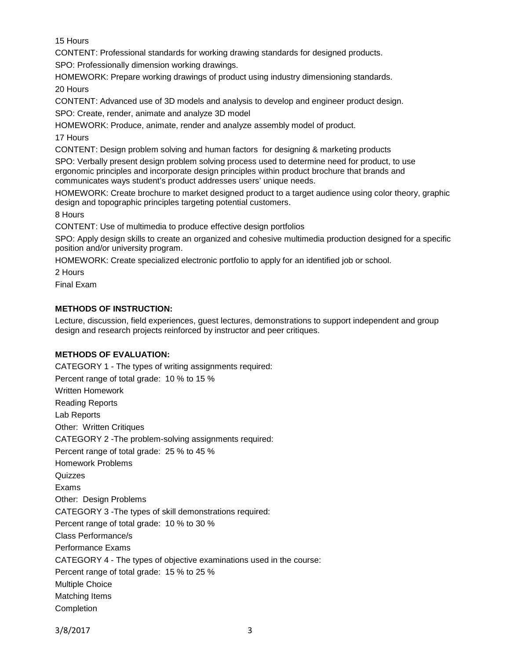15 Hours

CONTENT: Professional standards for working drawing standards for designed products.

SPO: Professionally dimension working drawings.

HOMEWORK: Prepare working drawings of product using industry dimensioning standards.

20 Hours

CONTENT: Advanced use of 3D models and analysis to develop and engineer product design.

SPO: Create, render, animate and analyze 3D model

HOMEWORK: Produce, animate, render and analyze assembly model of product.

17 Hours

CONTENT: Design problem solving and human factors for designing & marketing products

SPO: Verbally present design problem solving process used to determine need for product, to use ergonomic principles and incorporate design principles within product brochure that brands and communicates ways student's product addresses users' unique needs.

HOMEWORK: Create brochure to market designed product to a target audience using color theory, graphic design and topographic principles targeting potential customers.

8 Hours

CONTENT: Use of multimedia to produce effective design portfolios

SPO: Apply design skills to create an organized and cohesive multimedia production designed for a specific position and/or university program.

HOMEWORK: Create specialized electronic portfolio to apply for an identified job or school.

2 Hours

Final Exam

## **METHODS OF INSTRUCTION:**

Lecture, discussion, field experiences, guest lectures, demonstrations to support independent and group design and research projects reinforced by instructor and peer critiques.

# **METHODS OF EVALUATION:**

CATEGORY 1 - The types of writing assignments required: Percent range of total grade: 10 % to 15 % Written Homework Reading Reports Lab Reports Other: Written Critiques CATEGORY 2 -The problem-solving assignments required: Percent range of total grade: 25 % to 45 % Homework Problems **Quizzes** Exams Other: Design Problems CATEGORY 3 -The types of skill demonstrations required: Percent range of total grade: 10 % to 30 % Class Performance/s Performance Exams CATEGORY 4 - The types of objective examinations used in the course: Percent range of total grade: 15 % to 25 % Multiple Choice Matching Items Completion

3/8/2017 3